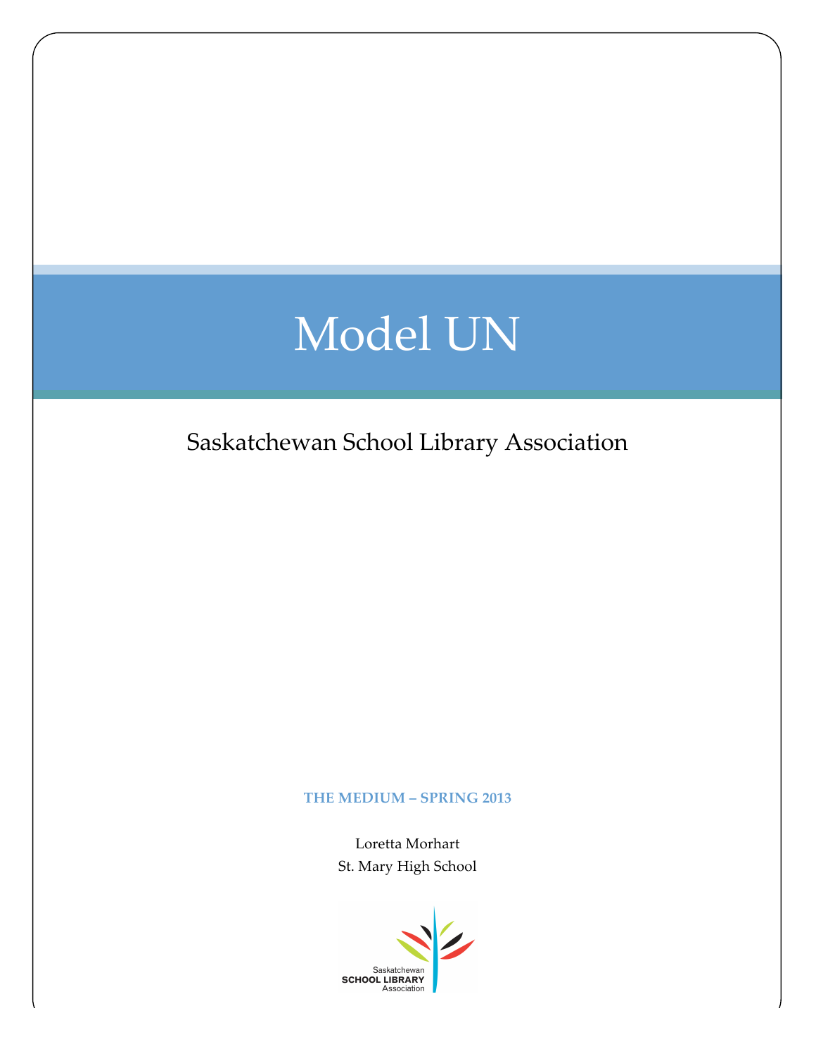## Model UN

Saskatchewan School Library Association

## THE MEDIUM – **SPRING 2013**

Loretta Morhart St. Mary High School

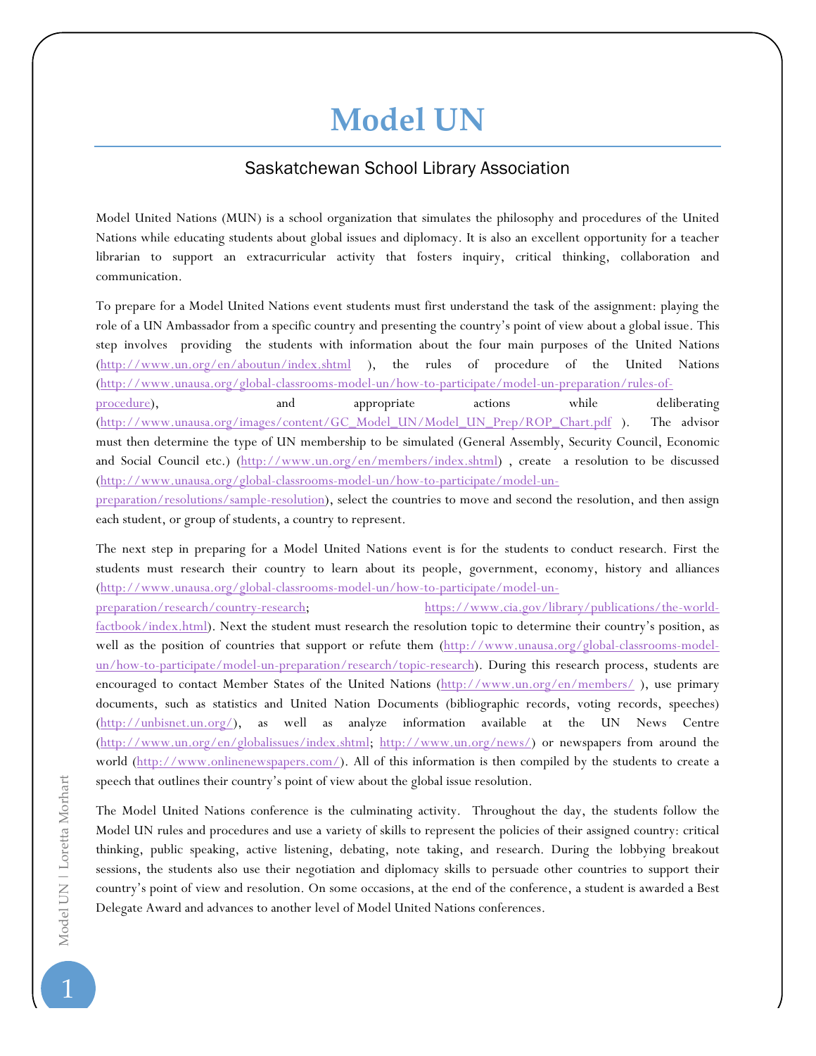## **Model!UN**

## Saskatchewan School Library Association

Model United Nations (MUN) is a school organization that simulates the philosophy and procedures of the United Nations while educating students about global issues and diplomacy. It is also an excellent opportunity for a teacher librarian to support an extracurricular activity that fosters inquiry, critical thinking, collaboration and communication.

To prepare for a Model United Nations event students must first understand the task of the assignment: playing the role of a UN Ambassador from a specific country and presenting the country's point of view about a global issue. This step involves providing the students with information about the four main purposes of the United Nations (http://www.un.org/en/aboutun/index.shtml ), the rules of procedure of the United Nations (http://www.unausa.org/global-classrooms-model-un/how-to-participate/model-un-preparation/rules-of-

procedure), and appropriate actions while deliberating (http://www.unausa.org/images/content/GC\_Model\_UN/Model\_UN\_Prep/ROP\_Chart.pdf ). The advisor must then determine the type of UN membership to be simulated (General Assembly, Security Council, Economic and Social Council etc.) (http://www.un.org/en/members/index.shtml), create a resolution to be discussed (http://www.unausa.org/global-classrooms-model-un/how-to-participate/model-un-

preparation/resolutions/sample-resolution), select the countries to move and second the resolution, and then assign each student, or group of students, a country to represent.

The next step in preparing for a Model United Nations event is for the students to conduct research. First the students must research their country to learn about its people, government, economy, history and alliances (http://www.unausa.org/global-classrooms-model-un/how-to-participate/model-un-

preparation/research/country-research; https://www.cia.gov/library/publications/the-worldfactbook/index.html). Next the student must research the resolution topic to determine their country's position, as well as the position of countries that support or refute them (http://www.unausa.org/global-classrooms-modelun/how-to-participate/model-un-preparation/research/topic-research). During this research process, students are encouraged to contact Member States of the United Nations (http://www.un.org/en/members/), use primary documents, such as statistics and United Nation Documents (bibliographic records, voting records, speeches) (http://unbisnet.un.org/), as well as analyze information available at the UN News Centre (http://www.un.org/en/globalissues/index.shtml; http://www.un.org/news/) or newspapers from around the world (http://www.onlinenewspapers.com/). All of this information is then compiled by the students to create a speech that outlines their country's point of view about the global issue resolution.

The Model United Nations conference is the culminating activity. Throughout the day, the students follow the Model UN rules and procedures and use a variety of skills to represent the policies of their assigned country: critical thinking, public speaking, active listening, debating, note taking, and research. During the lobbying breakout sessions, the students also use their negotiation and diplomacy skills to persuade other countries to support their country's point of view and resolution. On some occasions, at the end of the conference, a student is awarded a Best Delegate Award and advances to another level of Model United Nations conferences.